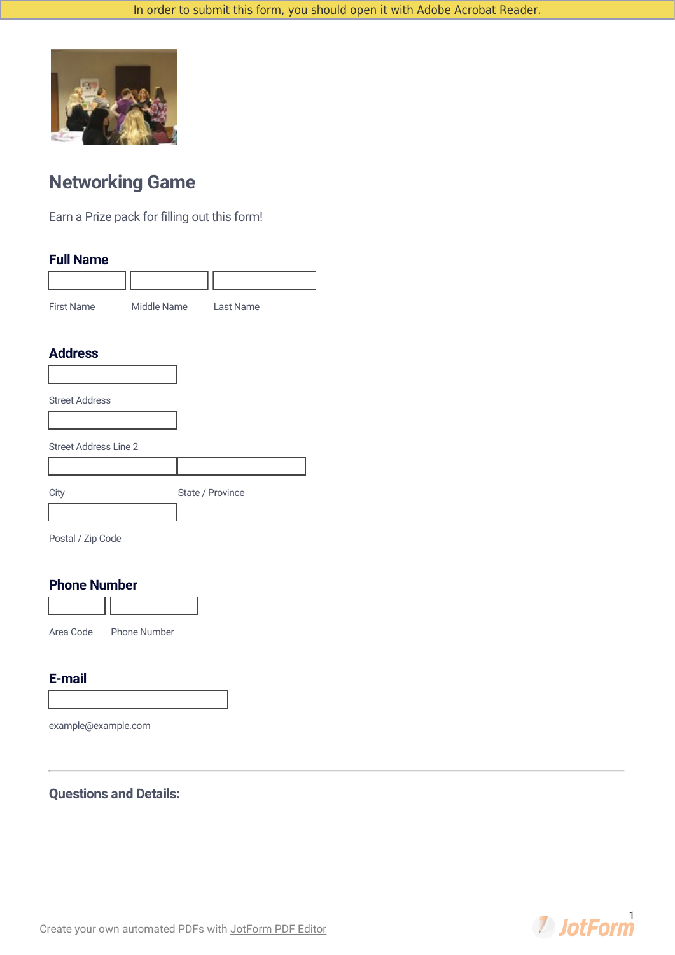

# **Networking Game**

Earn a Prize pack for filling out this form!

### **Full Name**

| <b>First Name</b> | Middle Name | Last Name |
|-------------------|-------------|-----------|

### **Address**

| <b>Address</b>               |                  |
|------------------------------|------------------|
|                              |                  |
| <b>Street Address</b>        |                  |
| <b>Street Address Line 2</b> |                  |
|                              |                  |
| City                         | State / Province |
|                              |                  |

Postal / Zip Code

#### **Phone Number**



Area Code Phone Number

### **E-mail**

example@example.com

### **Questions and Details:**

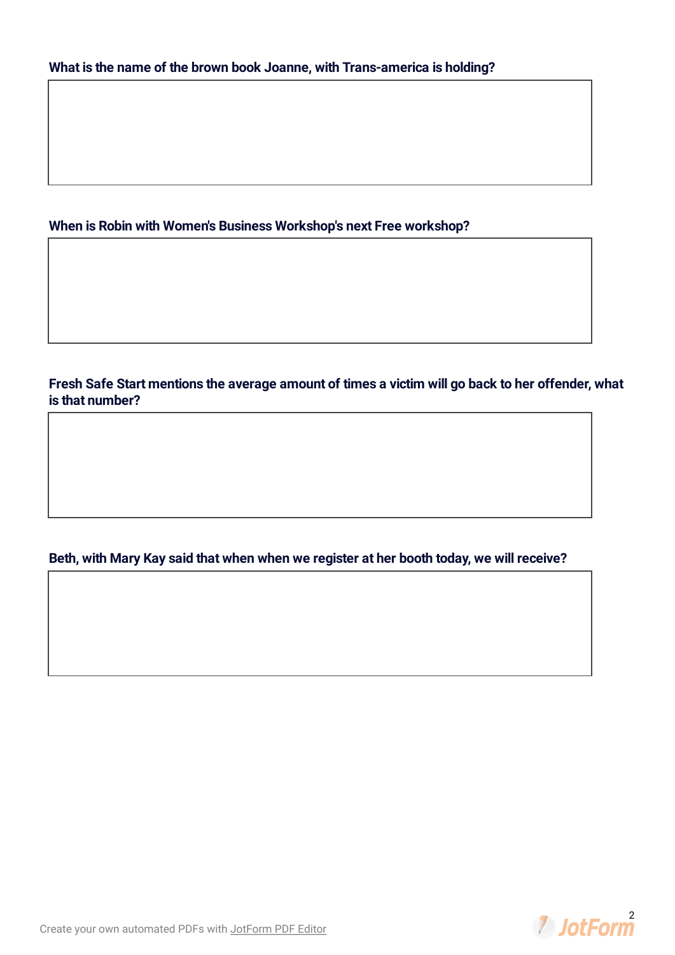### **When is Robin with Women's Business Workshop's next Free workshop?**

**Fresh Safe Start mentions the average amount of times a victim will go back to her offender, what is that number?**

### **Beth, with Mary Kay said that when when we register at her booth today, we will receive?**

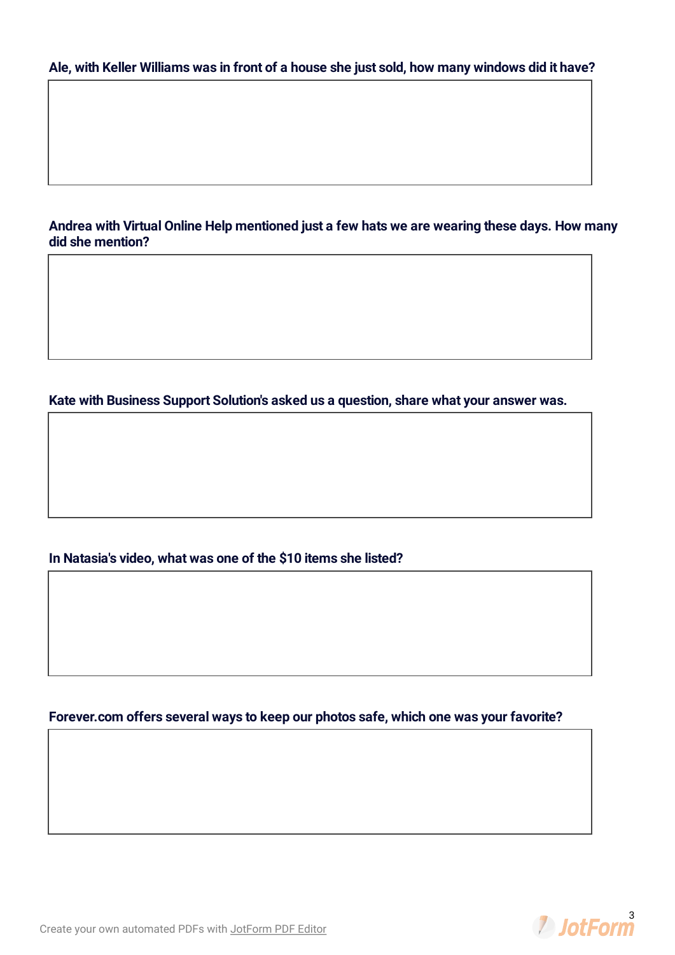#### Ale, with Keller Williams was in front of a house she just sold, how many windows did it have?

**Andrea with Virtual Online Help mentioned just a few hats we are wearing these days. How many did she mention?**

**Kate with Business Support Solution's asked us a question, share what your answer was.**

### **In Natasia's video, what was one of the \$10 items she listed?**

### **Forever.com offers several ways to keep our photos safe, which one was your favorite?**

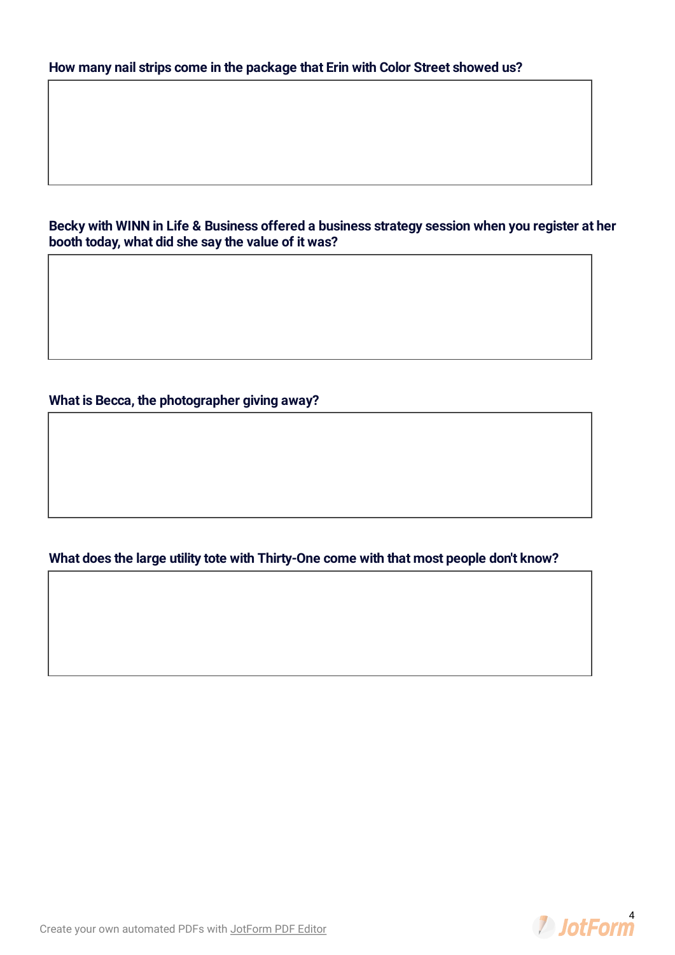**Becky with WINN in Life & Business offered a business strategy session when you register at her booth today, what did she say the value of it was?**

**What is Becca, the photographer giving away?**

**What does the large utility tote with Thirty-One come with that most people don't know?**